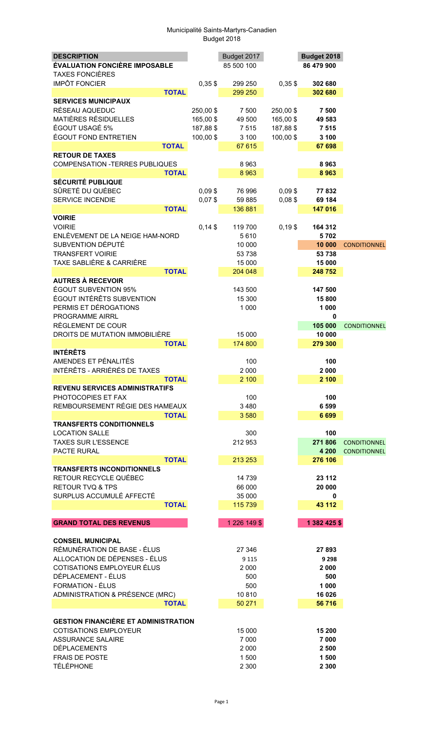| <b>DESCRIPTION</b>                                |                       | Budget 2017     |                       | Budget 2018     |                     |
|---------------------------------------------------|-----------------------|-----------------|-----------------------|-----------------|---------------------|
| <b>ÉVALUATION FONCIÈRE IMPOSABLE</b>              |                       | 85 500 100      |                       | 86 479 900      |                     |
| <b>TAXES FONCIÈRES</b>                            |                       |                 |                       |                 |                     |
| <b>IMPÔT FONCIER</b>                              | $0,35$ \$             | 299 250         | $0,35$ \$             | 302 680         |                     |
| <b>TOTAL</b>                                      |                       | 299 250         |                       | 302 680         |                     |
| <b>SERVICES MUNICIPAUX</b><br>RÉSEAU AQUEDUC      |                       |                 |                       |                 |                     |
| <b>MATIÈRES RÉSIDUELLES</b>                       | 250,00 \$<br>165,00\$ | 7 500<br>49 500 | 250,00 \$<br>165,00\$ | 7 500<br>49 583 |                     |
| ÉGOUT USAGÉ 5%                                    | 187,88 \$             | 7 5 1 5         | 187,88 \$             | 7 5 1 5         |                     |
| <b>ÉGOUT FOND ENTRETIEN</b>                       | 100,00\$              | 3 100           | 100,00\$              | 3 100           |                     |
| <b>TOTAL</b>                                      |                       | 67 615          |                       | 67 698          |                     |
| <b>RETOUR DE TAXES</b>                            |                       |                 |                       |                 |                     |
| <b>COMPENSATION -TERRES PUBLIQUES</b>             |                       | 8963            |                       | 8963            |                     |
| <b>TOTAL</b>                                      |                       | 8 9 6 3         |                       | 8963            |                     |
| <b>SÉCURITÉ PUBLIQUE</b>                          |                       |                 |                       |                 |                     |
| SÛRETÉ DU QUÉBEC                                  | $0,09$ \$             | 76 996          | $0,09$ \$             | 77832           |                     |
| <b>SERVICE INCENDIE</b>                           | $0,07$ \$             | 59 885          | $0,08$ \$             | 69 184          |                     |
| <b>TOTAL</b>                                      |                       | 136 881         |                       | 147 016         |                     |
| <b>VOIRIE</b><br><b>VOIRIE</b>                    | $0,14$ \$             |                 |                       |                 |                     |
| ENLÈVEMENT DE LA NEIGE HAM-NORD                   |                       | 119 700<br>5610 | $0,19$ \$             | 164 312<br>5702 |                     |
| SUBVENTION DÉPUTÉ                                 |                       | 10 000          |                       | 10 000          | <b>CONDITIONNEL</b> |
| <b>TRANSFERT VOIRIE</b>                           |                       | 53 738          |                       | 53 738          |                     |
| TAXE SABLIÈRE & CARRIÈRE                          |                       | 15 000          |                       | 15 000          |                     |
| <b>TOTAL</b>                                      |                       | 204 048         |                       | 248 752         |                     |
| <b>AUTRES À RECEVOIR</b>                          |                       |                 |                       |                 |                     |
| ÉGOUT SUBVENTION 95%                              |                       | 143 500         |                       | 147 500         |                     |
| ÉGOUT INTÉRÊTS SUBVENTION                         |                       | 15 300          |                       | 15 800          |                     |
| PERMIS ET DÉROGATIONS                             |                       | 1 0 0 0         |                       | 1 000           |                     |
| PROGRAMME AIRRL                                   |                       |                 |                       | 0               |                     |
| RÈGLEMENT DE COUR                                 |                       |                 |                       | 105 000         | <b>CONDITIONNEL</b> |
| DROITS DE MUTATION IMMOBILIÈRE                    |                       | 15 000          |                       | 10 000          |                     |
| <b>TOTAL</b><br><b>INTÉRÊTS</b>                   |                       | 174 800         |                       | 279 300         |                     |
| AMENDES ET PÉNALITÉS                              |                       | 100             |                       | 100             |                     |
| INTÉRÊTS - ARRIÉRÉS DE TAXES                      |                       | 2 0 0 0         |                       | 2 000           |                     |
| <b>TOTAL</b>                                      |                       | 2 100           |                       | 2 100           |                     |
| <b>REVENU SERVICES ADMINISTRATIFS</b>             |                       |                 |                       |                 |                     |
| PHOTOCOPIES ET FAX                                |                       | 100             |                       | 100             |                     |
| REMBOURSEMENT RÉGIE DES HAMEAUX                   |                       | 3 4 8 0         |                       | 6 5 9 9         |                     |
| <b>TOTAL</b>                                      |                       | 3580            |                       | 6 6 9 9         |                     |
| <b>TRANSFERTS CONDITIONNELS</b>                   |                       |                 |                       |                 |                     |
| <b>LOCATION SALLE</b>                             |                       | 300             |                       | 100             |                     |
| <b>TAXES SUR L'ESSENCE</b>                        |                       | 212 953         |                       | 271 806         | <b>CONDITIONNEL</b> |
| PACTE RURAL                                       |                       |                 |                       | 4 200           | <b>CONDITIONNEL</b> |
| <b>TOTAL</b><br><b>TRANSFERTS INCONDITIONNELS</b> |                       | 213 253         |                       | 276 106         |                     |
| RETOUR RECYCLE QUÉBEC                             |                       | 14 739          |                       | 23 112          |                     |
| <b>RETOUR TVQ &amp; TPS</b>                       |                       | 66 000          |                       | 20 000          |                     |
| SURPLUS ACCUMULÉ AFFECTÉ                          |                       | 35 000          |                       | 0               |                     |
| <b>TOTAL</b>                                      |                       | 115 739         |                       | 43 112          |                     |
|                                                   |                       |                 |                       |                 |                     |
| <b>GRAND TOTAL DES REVENUS</b>                    |                       | 1 226 149 \$    |                       | 1 382 425 \$    |                     |
|                                                   |                       |                 |                       |                 |                     |
| <b>CONSEIL MUNICIPAL</b>                          |                       |                 |                       |                 |                     |
| RÉMUNÉRATION DE BASE - ÉLUS                       |                       | 27 346          |                       | 27 893          |                     |
| ALLOCATION DE DÉPENSES - ÉLUS                     |                       | 9 1 1 5         |                       | 9 2 9 8         |                     |
| COTISATIONS EMPLOYEUR ÉLUS<br>DÉPLACEMENT - ÉLUS  |                       | 2 0 0 0         |                       | 2 0 0 0<br>500  |                     |
| <b>FORMATION - ÉLUS</b>                           |                       | 500<br>500      |                       | 1 000           |                     |
| ADMINISTRATION & PRÉSENCE (MRC)                   |                       | 10810           |                       | 16 0 26         |                     |
| <b>TOTAL</b>                                      |                       | 50 271          |                       | 56 716          |                     |
|                                                   |                       |                 |                       |                 |                     |
| <b>GESTION FINANCIÈRE ET ADMINISTRATION</b>       |                       |                 |                       |                 |                     |
| <b>COTISATIONS EMPLOYEUR</b>                      |                       | 15 000          |                       | 15 200          |                     |
| <b>ASSURANCE SALAIRE</b>                          |                       | 7 0 0 0         |                       | 7 000           |                     |
| <b>DÉPLACEMENTS</b>                               |                       | 2 0 0 0         |                       | 2 500           |                     |
| <b>FRAIS DE POSTE</b>                             |                       | 1 500           |                       | 1 500           |                     |
| <b>TÉLÉPHONE</b>                                  |                       | 2 3 0 0         |                       | 2 3 0 0         |                     |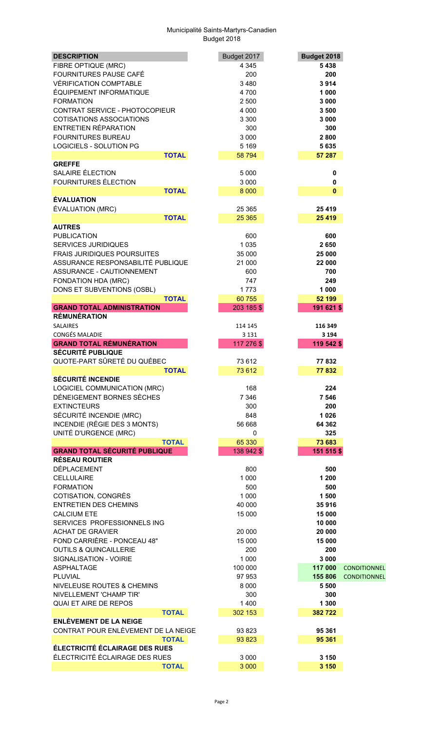| <b>DESCRIPTION</b>                            | Budget 2017 | Budget 2018                    |
|-----------------------------------------------|-------------|--------------------------------|
| FIBRE OPTIQUE (MRC)                           | 4 3 4 5     | 5438                           |
| FOURNITURES PAUSE CAFÉ                        | 200         | 200                            |
| <b>VÉRIFICATION COMPTABLE</b>                 | 3480        | 3914                           |
| ÉQUIPEMENT INFORMATIQUE                       | 4700        | 1 000                          |
| <b>FORMATION</b>                              | 2 500       | 3 0 0 0                        |
| CONTRAT SERVICE - PHOTOCOPIEUR                | 4 0 0 0     | 3 500                          |
| <b>COTISATIONS ASSOCIATIONS</b>               | 3 3 0 0     | 3 000                          |
| <b>ENTRETIEN RÉPARATION</b>                   | 300         | 300                            |
| <b>FOURNITURES BUREAU</b>                     | 3 0 0 0     | 2800                           |
| <b>LOGICIELS - SOLUTION PG</b>                | 5 1 6 9     | 5 6 3 5                        |
| <b>TOTAL</b>                                  | 58 794      | 57 287                         |
| <b>GREFFE</b>                                 |             |                                |
| SALAIRE ÉLECTION                              | 5 0 0 0     | 0                              |
| <b>FOURNITURES ÉLECTION</b>                   | 3 0 0 0     | 0                              |
| <b>TOTAL</b>                                  | 8 0 0 0     | $\bf{0}$                       |
| <b>ÉVALUATION</b>                             |             |                                |
| ÉVALUATION (MRC)                              | 25 3 65     | 25 4 19                        |
| <b>TOTAL</b>                                  | 25 3 65     | 25 4 19                        |
| <b>AUTRES</b>                                 |             |                                |
| <b>PUBLICATION</b>                            | 600         | 600                            |
| <b>SERVICES JURIDIQUES</b>                    | 1 0 3 5     | 2650                           |
| <b>FRAIS JURIDIQUES POURSUITES</b>            | 35 000      | 25 000                         |
| ASSURANCE RESPONSABILITÉ PUBLIQUE             | 21 000      | 22 000                         |
| ASSURANCE - CAUTIONNEMENT                     | 600         | 700                            |
| FONDATION HDA (MRC)                           | 747         | 249                            |
| DONS ET SUBVENTIONS (OSBL)                    | 1773        | 1 000                          |
| <b>TOTAL</b>                                  | 60 755      | 52 199                         |
| <b>GRAND TOTAL ADMINISTRATION</b>             | 203 185 \$  | 191 621 \$                     |
| <b>RÉMUNÉRATION</b>                           |             |                                |
| <b>SALAIRES</b>                               | 114 145     | 116 349                        |
| <b>CONGÉS MALADIE</b>                         | 3 1 3 1     | 3 1 9 4                        |
| <b>GRAND TOTAL RÉMUNÉRATION</b>               | 117 276 \$  | 119 542 \$                     |
| <b>SÉCURITÉ PUBLIQUE</b>                      |             |                                |
| QUOTE-PART SÛRETÉ DU QUÉBEC                   | 73 612      | 77832                          |
| <b>TOTAL</b><br><b>SÉCURITÉ INCENDIE</b>      | 73 612      | 77832                          |
|                                               |             |                                |
| LOGICIEL COMMUNICATION (MRC)                  | 168         | 224                            |
| DÉNEIGEMENT BORNES SÈCHES                     | 7 3 4 6     | 7 5 4 6                        |
| <b>EXTINCTEURS</b><br>SÉCURITÉ INCENDIE (MRC) | 300<br>848  | 200<br>1 0 2 6                 |
| INCENDIE (RÉGIE DES 3 MONTS)                  | 56 668      | 64 362                         |
| UNITÉ D'URGENCE (MRC)                         | $\mathbf 0$ | 325                            |
| <b>TOTAL</b>                                  | 65 330      | 73 683                         |
| <b>GRAND TOTAL SÉCURITÉ PUBLIQUE</b>          | 138 942 \$  | 151 515 \$                     |
| <b>RÉSEAU ROUTIER</b>                         |             |                                |
| <b>DÉPLACEMENT</b>                            | 800         | 500                            |
| <b>CELLULAIRE</b>                             | 1 0 0 0     | 1 200                          |
| <b>FORMATION</b>                              | 500         | 500                            |
| COTISATION, CONGRÈS                           | 1 0 0 0     | 1 500                          |
| <b>ENTRETIEN DES CHEMINS</b>                  | 40 000      | 35916                          |
| <b>CALCIUM ETE</b>                            | 15 000      | 15 000                         |
| SERVICES PROFESSIONNELS ING                   |             | 10 000                         |
| <b>ACHAT DE GRAVIER</b>                       | 20 000      | 20 000                         |
| FOND CARRIÈRE - PONCEAU 48"                   | 15 000      | 15 000                         |
| <b>OUTILS &amp; QUINCAILLERIE</b>             | 200         | 200                            |
| SIGNALISATION - VOIRIE                        | 1 0 0 0     | 3 0 0 0                        |
| <b>ASPHALTAGE</b>                             | 100 000     | 117 000<br><b>CONDITIONNEL</b> |
| PLUVIAL                                       | 97 953      | 155 806<br><b>CONDITIONNEL</b> |
| NIVELEUSE ROUTES & CHEMINS                    | 8 0 0 0     | 5 500                          |
| NIVELLEMENT 'CHAMP TIR'                       | 300         | 300                            |
| <b>QUAI ET AIRE DE REPOS</b>                  | 1400        | 1 300                          |
| <b>TOTAL</b>                                  | 302 153     | 382722                         |
| <b>ENLÈVEMENT DE LA NEIGE</b>                 |             |                                |
| CONTRAT POUR ENLÈVEMENT DE LA NEIGE           | 93 823      | 95 361                         |
| <b>TOTAL</b>                                  | 93 823      | 95 361                         |
| ÉLECTRICITÉ ÉCLAIRAGE DES RUES                |             |                                |
| ÉLECTRICITÉ ÉCLAIRAGE DES RUES                | 3 0 0 0     | 3 1 5 0                        |
| <b>TOTAL</b>                                  | 3 0 0 0     | 3 1 5 0                        |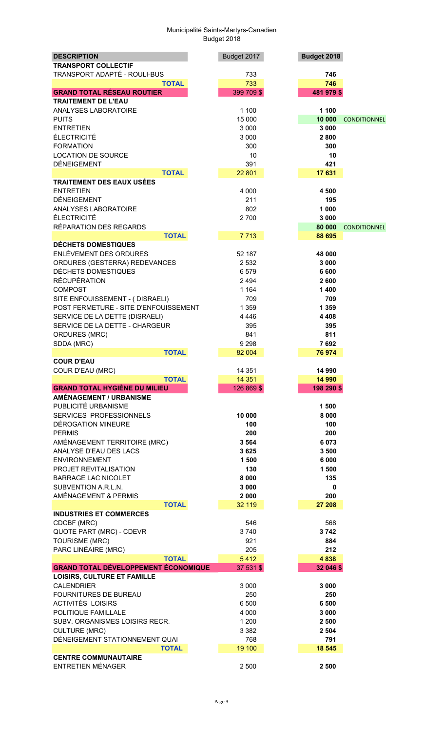| <b>DESCRIPTION</b>                                      | Budget 2017   | Budget 2018   |                     |
|---------------------------------------------------------|---------------|---------------|---------------------|
| <b>TRANSPORT COLLECTIF</b>                              |               |               |                     |
| TRANSPORT ADAPTÉ - ROULI-BUS                            | 733           | 746           |                     |
| <b>TOTAL</b>                                            | 733           | 746           |                     |
| <b>GRAND TOTAL RÉSEAU ROUTIER</b>                       | 399 709 \$    | 481 979 \$    |                     |
| <b>TRAITEMENT DE L'EAU</b>                              |               |               |                     |
| ANALYSES LABORATOIRE                                    | 1 100         | 1 100         |                     |
| <b>PUITS</b>                                            | 15 000        | 10 000        | <b>CONDITIONNEL</b> |
| <b>ENTRETIEN</b>                                        | 3 0 0 0       | 3 0 0 0       |                     |
| <b>ÉLECTRICITÉ</b>                                      | 3 0 0 0       | 2800          |                     |
| <b>FORMATION</b>                                        | 300           | 300           |                     |
| <b>LOCATION DE SOURCE</b>                               | 10            | 10            |                     |
| <b>DÉNEIGEMENT</b>                                      | 391           | 421           |                     |
| <b>TOTAL</b>                                            | 22 801        | 17 631        |                     |
| <b>TRAITEMENT DES EAUX USÉES</b>                        |               |               |                     |
| <b>ENTRETIEN</b>                                        | 4 0 0 0       | 4 500         |                     |
| <b>DÉNEIGEMENT</b>                                      | 211           | 195           |                     |
| ANALYSES LABORATOIRE                                    | 802           | 1 000         |                     |
| ÉLECTRICITÉ                                             | 2700          | 3 000         |                     |
| RÉPARATION DES REGARDS                                  |               | 80 000        | <b>CONDITIONNEL</b> |
| <b>TOTAL</b>                                            | 7713          | 88 695        |                     |
| <b>DÉCHETS DOMESTIQUES</b>                              |               |               |                     |
| <b>ENLÈVEMENT DES ORDURES</b>                           | 52 187        | 48 000        |                     |
| ORDURES (GESTERRA) REDEVANCES                           | 2 5 3 2       | 3 0 0 0       |                     |
| DÉCHETS DOMESTIQUES                                     | 6579          | 6 600         |                     |
| <b>RÉCUPÉRATION</b>                                     | 2 4 9 4       | 2600          |                     |
| <b>COMPOST</b>                                          | 1 1 6 4       | 1400          |                     |
| SITE ENFOUISSEMENT - (DISRAELI)                         | 709           | 709           |                     |
| POST FERMETURE - SITE D'ENFOUISSEMENT                   | 1 3 5 9       | 1 3 5 9       |                     |
| SERVICE DE LA DETTE (DISRAELI)                          | 4 4 4 6       | 4 4 0 8       |                     |
| SERVICE DE LA DETTE - CHARGEUR                          | 395           | 395           |                     |
| <b>ORDURES (MRC)</b>                                    | 841           | 811           |                     |
| SDDA (MRC)                                              | 9 2 9 8       | 7692          |                     |
| <b>TOTAL</b>                                            | 82 004        | 76 974        |                     |
| <b>COUR D'EAU</b>                                       |               |               |                     |
| COUR D'EAU (MRC)                                        | 14 351        | 14 990        |                     |
| <b>TOTAL</b>                                            | 14 3 51       | 14 990        |                     |
| <b>GRAND TOTAL HYGIÈNE DU MILIEU</b>                    | 126 869 \$    | 198 290 \$    |                     |
| AMÉNAGEMENT / URBANISME                                 |               |               |                     |
| PUBLICITÉ URBANISME                                     |               | 1500          |                     |
| SERVICES PROFESSIONNELS                                 | 10 000        | 8 0 0 0       |                     |
| DÉROGATION MINEURE                                      | 100           | 100           |                     |
| <b>PERMIS</b>                                           | 200           | 200           |                     |
| AMÉNAGEMENT TERRITOIRE (MRC)                            | 3 5 6 4       | 6 0 7 3       |                     |
| ANALYSE D'EAU DES LACS                                  | 3625          | 3 500         |                     |
| <b>ENVIRONNEMENT</b>                                    | 1500          | 6 0 0 0       |                     |
| PROJET REVITALISATION                                   | 130           | 1500          |                     |
| <b>BARRAGE LAC NICOLET</b>                              | 8 0 0 0       | 135           |                     |
| SUBVENTION A.R.L.N.                                     | 3 0 0 0       | 0             |                     |
| AMÉNAGEMENT & PERMIS                                    | 2 0 0 0       | 200           |                     |
| <b>TOTAL</b>                                            | 32 119        | 27 208        |                     |
| <b>INDUSTRIES ET COMMERCES</b>                          |               |               |                     |
| CDCBF (MRC)                                             | 546           | 568           |                     |
| QUOTE PART (MRC) - CDEVR                                | 3740          | 3742          |                     |
| <b>TOURISME (MRC)</b>                                   | 921           | 884           |                     |
| PARC LINÉAIRE (MRC)                                     | 205           | 212           |                     |
| <b>TOTAL</b>                                            | 5412          | 4838          |                     |
| <b>GRAND TOTAL DÉVELOPPEMENT ÉCONOMIQUE</b>             | 37 531 \$     | 32 046 \$     |                     |
| <b>LOISIRS, CULTURE ET FAMILLE</b><br><b>CALENDRIER</b> | 3 0 0 0       |               |                     |
|                                                         |               | 3 0 0 0       |                     |
| FOURNITURES DE BUREAU<br><b>ACTIVITÉS LOISIRS</b>       | 250           | 250           |                     |
|                                                         | 6 500         | 6 500         |                     |
| POLITIQUE FAMILLALE                                     | 4 0 0 0       | 3 0 0 0       |                     |
| SUBV. ORGANISMES LOISIRS RECR.                          | 1 200         | 2 500         |                     |
| <b>CULTURE (MRC)</b><br>DÉNEIGEMENT STATIONNEMENT QUAI  | 3 3 8 2       | 2 5 0 4       |                     |
| <b>TOTAL</b>                                            | 768<br>19 100 | 791<br>18 545 |                     |
| <b>CENTRE COMMUNAUTAIRE</b>                             |               |               |                     |
| <b>ENTRETIEN MÉNAGER</b>                                | 2 500         | 2 500         |                     |
|                                                         |               |               |                     |